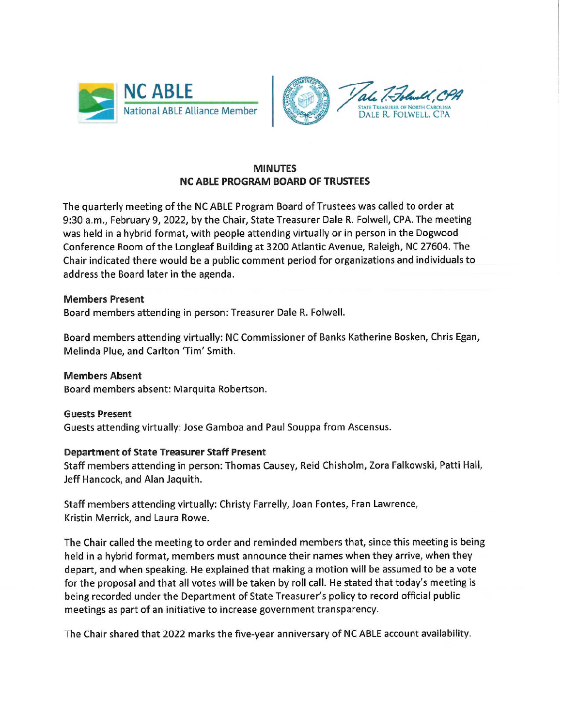



## **MINUTES NC ABLE PROGRAM BOARD OF TRUSTEES**

The quarterly meeting of the NC ABLE Program Board of Trustees was called to order at 9:30 a.m., February 9, 2022, by the Chair, State Treasurer Dale R. Folwell, CPA. The meeting was held in a hybrid format, with people attending virtually or in person in the Dogwood Conference Room of the Longleaf Building at 3200 Atlantic Avenue, Raleigh, NC 27604. The Chair indicated there would be a public comment period for organizations and individuals to address the Board later in the agenda.

## **Members Present**

Board members attending in person: Treasurer Dale R. Folwell.

Board members attending virtually: NC Commissioner of Banks Katherine Bosken, Chris Egan, Melinda Plue, and Carlton 'Tim' Smith.

**Members Absent** Board members absent: Marquita Robertson.

**Guests Present** Guests attending virtually: Jose Gamboa and Paul Souppa from Ascensus.

## **Department of State Treasurer Staff Present**

Staff members attending in person: Thomas Causey, Reid Chisholm, Zora Falkowski, Patti Hall, Jeff Hancock, and Alan Jaquith.

Staff members attending virtually: Christy Farrelly, Joan Fontes, Fran Lawrence, Kristin Merrick, and Laura Rowe.

The Chair called the meeting to order and reminded members that, since this meeting is being held in a hybrid format, members must announce their names when they arrive, when they depart, and when speaking. He explained that making a motion will be assumed to be a vote for the proposal and that all votes will be taken by roll call. He stated that today's meeting is being recorded under the Department of State Treasurer's policy to record official public meetings as part of an initiative to increase government transparency.

The Chair shared that 2022 marks the five-year anniversary of NC ABLE account availability.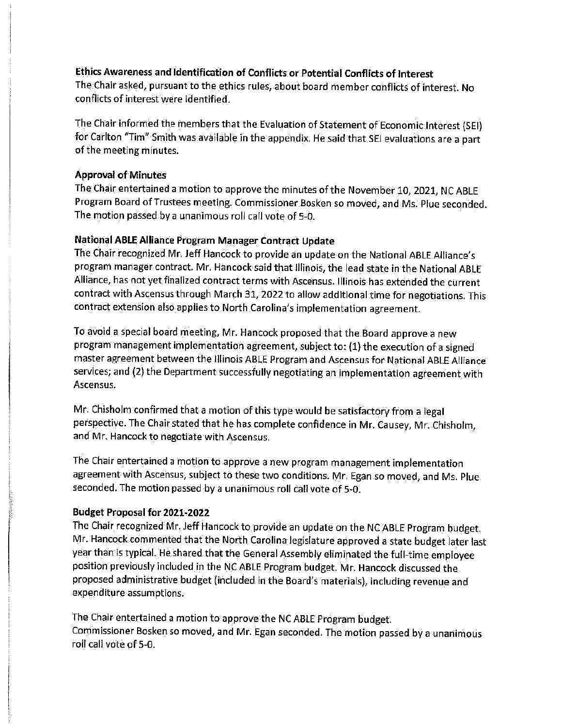# Ethics Awareness and Identification of Conflicts or Potential Conflicts of Interest

The Chair asked, pursuant to the ethics rules, about board member conflicts of interest. No conflicts of interest were identified.

The Chair informed the members that the Evaluation of Statement of Economic Interest (SEI) for Carlton "Tim" Smith was available in the appendix. He said that SEI evaluations are a part of the meeting minutes.

## **Approval of Minutes**

The Chair entertained a motion to approve the minutes of the November 10, 2021, NC ABLE Program Board of Trustees meeting. Commissioner Bosken so moved, and Ms. Plue seconded. The motion passed by a unanimous roll call vote of 5-0.

## National ABLE Alliance Program Manager Contract Update

The Chair recognized Mr. Jeff Hancock to provide an update on the National ABLE Alliance's program manager contract. Mr. Hancock said that Illinois, the lead state in the National ABLE Alliance, has not yet finalized contract terms with Ascensus. Illinois has extended the current contract with Ascensus through March 31, 2022 to allow additional time for negotiations. This contract extension also applies to North Carolina's implementation agreement.

To avoid a special board meeting, Mr. Hancock proposed that the Board approve a new program management implementation agreement, subject to: (1) the execution of a signed master agreement between the Illinois ABLE Program and Ascensus for National ABLE Alliance services; and (2) the Department successfully negotiating an implementation agreement with Ascensus.

Mr. Chisholm confirmed that a motion of this type would be satisfactory from a legal perspective. The Chair stated that he has complete confidence in Mr. Causey, Mr. Chisholm, and Mr. Hancock to negotiate with Ascensus.

The Chair entertained a motion to approve a new program management implementation agreement with Ascensus, subject to these two conditions. Mr. Egan so moved, and Ms. Plue. seconded. The motion passed by a unanimous roll call vote of 5-0.

## **Budget Proposal for 2021-2022**

The Chair recognized Mr. Jeff Hancock to provide an update on the NC ABLE Program budget. Mr. Hancock commented that the North Carolina legislature approved a state budget later last year than is typical. He shared that the General Assembly eliminated the full-time employee position previously included in the NC ABLE Program budget. Mr. Hancock discussed the proposed administrative budget (included in the Board's materials), including revenue and expenditure assumptions.

The Chair entertained a motion to approve the NC ABLE Program budget. Commissioner Bosken so moved, and Mr. Egan seconded. The motion passed by a unanimous roll call vote of 5-0.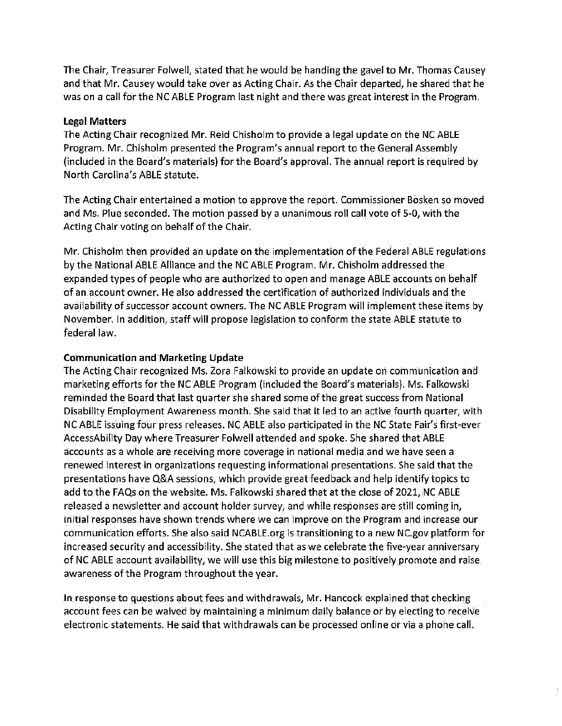The Chair, Treasurer Folwell, stated that he would be handing the gavel to Mr. Thomas Causey and that Mr. Causey would take over as Acting Chair. As the Chair departed, he shared that he was on a call for the NC ABLE Program last night and there was great interest in the Program.

## **Legal Matters**

The Acting Chair recognized Mr. Reid Chisholm to provide a legal update on the NC ABLE Program. Mr. Chisholm presented the Program's annual report to the General Assembly (included in the Board's materials) for the Board's approval. The annual report is required by North Carolina's ABLE statute.

The Acting Chair entertained a motion to approve the report. Commissioner Bosken so moved and Ms. Plue seconded. The motion passed by a unanimous roll call vote of 5-0, with the Acting Chair voting on behalf of the Chair.

Mr. Chisholm then provided an update on the implementation of the Federal ABLE regulations by the National ABLE Alliance and the NC ABLE Program. Mr. Chisholm addressed the expanded types of people who are authorized to open and manage ABLE accounts on behalf of an account owner. He also addressed the certification of authorized individuals and the availability of successor account owners. The NC ABLE Program will implement these items by November. In addition, staff will propose legislation to conform the state ABLE statute to federal law.

### **Communication and Marketing Update**

The Acting Chair recognized Ms. Zora Falkowski to provide an update on communication and marketing efforts for the NC ABLE Program (included the Board's materials). Ms. Falkowski reminded the Board that last quarter she shared some of the great success from National Disability Employment Awareness month. She said that it led to an active fourth quarter, with NC ABLE issuing four press releases. NC ABLE also participated in the NC State Fair's first-ever AccessAbility Day where Treasurer Folwell attended and spoke. She shared that ABLE accounts as a whole are receiving more coverage in national media and we have seen a renewed interest in organizations requesting informational presentations. She said that the presentations have Q&A sessions, which provide great feedback and help identify topics to add to the FAQs on the website. Ms. Falkowski shared that at the close of 2021, NC ABLE released a newsletter and account holder survey, and while responses are still coming in, initial responses have shown trends where we can improve on the Program and increase our communication efforts. She also said NCABLE org is transitioning to a new NC gov platform for increased security and accessibility. She stated that as we celebrate the five-year anniversary of NC ABLE account availability, we will use this big milestone to positively promote and raise. awareness of the Program throughout the year.

In response to questions about fees and withdrawals, Mr. Hancock explained that checking account fees can be waived by maintaining a minimum daily balance or by electing to receive electronic statements. He said that withdrawals can be processed online or via a phone call.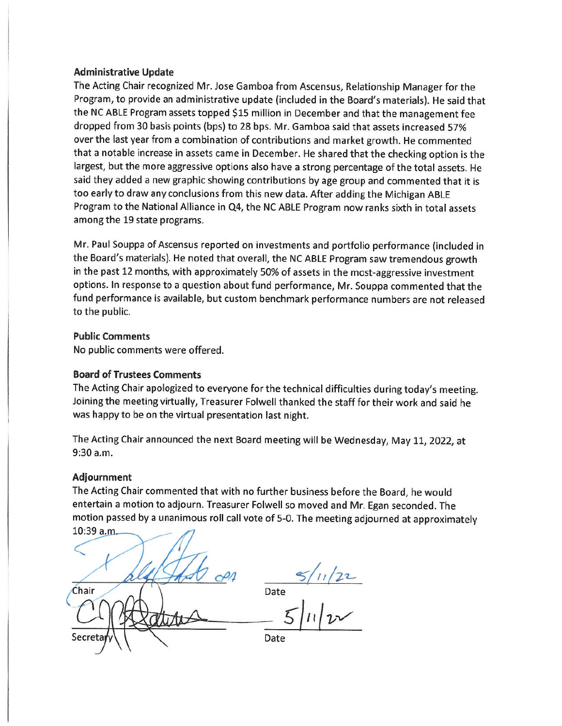#### **Administrative Update**

The Acting Chair recognized Mr. Jose Gamboa from Ascensus, Relationship Manager for the Program, to provide an administrative update (included in the Board's materials). He said that the NC ABLE Program assets topped \$15 million in December and that the management fee dropped from 30 basis points (bps) to 28 bps. Mr. Gamboa said that assets increased 57% over the last year from a combination of contributions and market growth. He commented that a notable increase in assets came in December. He shared that the checking option is the largest, but the more aggressive options also have a strong percentage of the total assets. He said they added a new graphic showing contributions by age group and commented that it is too early to draw any conclusions from this new data. After adding the Michigan ABLE Program to the National Alliance in Q4, the NC ABLE Program now ranks sixth in total assets among the 19 state programs.

Mr. Paul Souppa of Ascensus reported on investments and portfolio performance (included in the Board's materials). He noted that overall, the NC ABLE Program saw tremendous growth in the past 12 months, with approximately 50% of assets in the most-aggressive investment options. In response to a question about fund performance, Mr. Souppa commented that the fund performance is available, but custom benchmark performance numbers are not released to the public.

### **Public Comments**

No public comments were offered.

#### **Board of Trustees Comments**

The Acting Chair apologized to everyone for the technical difficulties during today's meeting. Joining the meeting virtually, Treasurer Folwell thanked the staff for their work and said he was happy to be on the virtual presentation last night.

The Acting Chair announced the next Board meeting will be Wednesday, May 11, 2022, at 9:30 a.m.

#### **Adjournment**

The Acting Chair commented that with no further business before the Board, he would entertain a motion to adjourn. Treasurer Folwell so moved and Mr. Egan seconded. The motion passed by a unanimous roll call vote of 5-0. The meeting adjourned at approximately 10:39 a.m.

Date  $=5/11/22$ Chair Secreta Date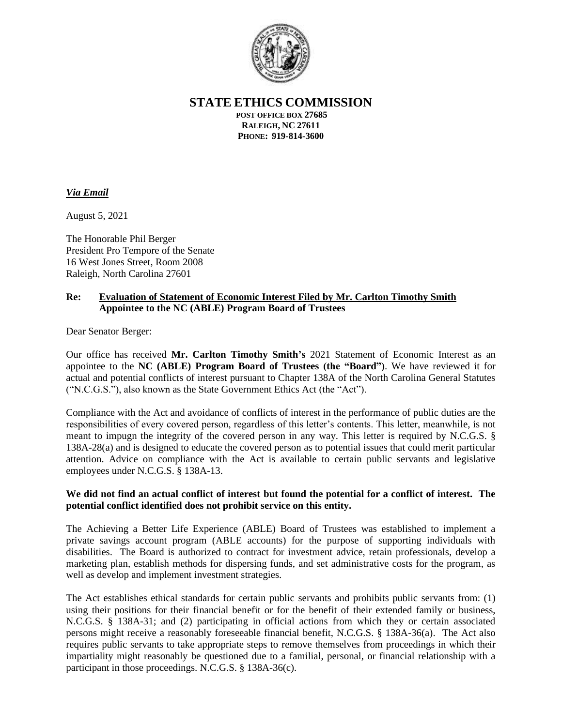

**STATE ETHICS COMMISSION**

**POST OFFICE BOX 27685 RALEIGH, NC 27611 PHONE: 919-814-3600**

### *Via Email*

August 5, 2021

The Honorable Phil Berger President Pro Tempore of the Senate 16 West Jones Street, Room 2008 Raleigh, North Carolina 27601

#### **Re: Evaluation of Statement of Economic Interest Filed by Mr. Carlton Timothy Smith Appointee to the NC (ABLE) Program Board of Trustees**

Dear Senator Berger:

Our office has received **Mr. Carlton Timothy Smith's** 2021 Statement of Economic Interest as an appointee to the **NC (ABLE) Program Board of Trustees (the "Board")**. We have reviewed it for actual and potential conflicts of interest pursuant to Chapter 138A of the North Carolina General Statutes ("N.C.G.S."), also known as the State Government Ethics Act (the "Act").

Compliance with the Act and avoidance of conflicts of interest in the performance of public duties are the responsibilities of every covered person, regardless of this letter's contents. This letter, meanwhile, is not meant to impugn the integrity of the covered person in any way. This letter is required by N.C.G.S. § 138A-28(a) and is designed to educate the covered person as to potential issues that could merit particular attention. Advice on compliance with the Act is available to certain public servants and legislative employees under N.C.G.S. § 138A-13.

### **We did not find an actual conflict of interest but found the potential for a conflict of interest. The potential conflict identified does not prohibit service on this entity.**

The Achieving a Better Life Experience (ABLE) Board of Trustees was established to implement a private savings account program (ABLE accounts) for the purpose of supporting individuals with disabilities. The Board is authorized to contract for investment advice, retain professionals, develop a marketing plan, establish methods for dispersing funds, and set administrative costs for the program, as well as develop and implement investment strategies.

The Act establishes ethical standards for certain public servants and prohibits public servants from: (1) using their positions for their financial benefit or for the benefit of their extended family or business, N.C.G.S. § 138A-31; and (2) participating in official actions from which they or certain associated persons might receive a reasonably foreseeable financial benefit, N.C.G.S. § 138A-36(a). The Act also requires public servants to take appropriate steps to remove themselves from proceedings in which their impartiality might reasonably be questioned due to a familial, personal, or financial relationship with a participant in those proceedings. N.C.G.S. § 138A-36(c).